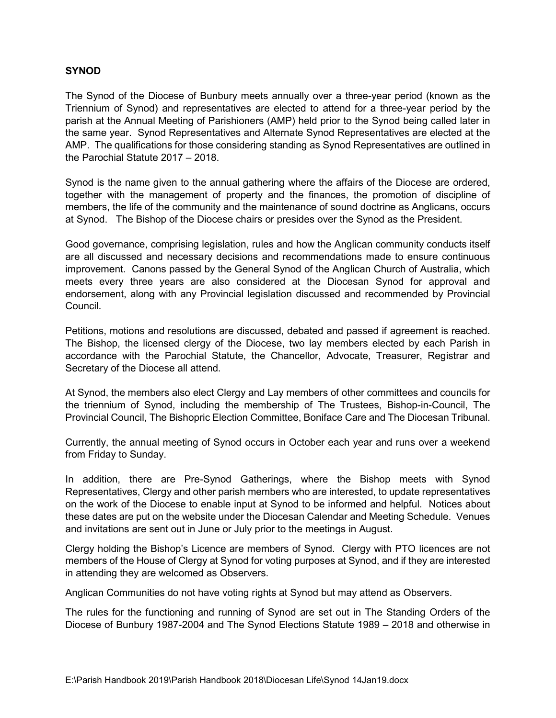## **SYNOD**

The Synod of the Diocese of Bunbury meets annually over a three-year period (known as the Triennium of Synod) and representatives are elected to attend for a three-year period by the parish at the Annual Meeting of Parishioners (AMP) held prior to the Synod being called later in the same year. Synod Representatives and Alternate Synod Representatives are elected at the AMP. The qualifications for those considering standing as Synod Representatives are outlined in the Parochial Statute 2017 – 2018.

Synod is the name given to the annual gathering where the affairs of the Diocese are ordered, together with the management of property and the finances, the promotion of discipline of members, the life of the community and the maintenance of sound doctrine as Anglicans, occurs at Synod. The Bishop of the Diocese chairs or presides over the Synod as the President.

Good governance, comprising legislation, rules and how the Anglican community conducts itself are all discussed and necessary decisions and recommendations made to ensure continuous improvement. Canons passed by the General Synod of the Anglican Church of Australia, which meets every three years are also considered at the Diocesan Synod for approval and endorsement, along with any Provincial legislation discussed and recommended by Provincial Council.

Petitions, motions and resolutions are discussed, debated and passed if agreement is reached. The Bishop, the licensed clergy of the Diocese, two lay members elected by each Parish in accordance with the Parochial Statute, the Chancellor, Advocate, Treasurer, Registrar and Secretary of the Diocese all attend.

At Synod, the members also elect Clergy and Lay members of other committees and councils for the triennium of Synod, including the membership of The Trustees, Bishop-in-Council, The Provincial Council, The Bishopric Election Committee, Boniface Care and The Diocesan Tribunal.

Currently, the annual meeting of Synod occurs in October each year and runs over a weekend from Friday to Sunday.

In addition, there are Pre-Synod Gatherings, where the Bishop meets with Synod Representatives, Clergy and other parish members who are interested, to update representatives on the work of the Diocese to enable input at Synod to be informed and helpful. Notices about these dates are put on the website under the Diocesan Calendar and Meeting Schedule. Venues and invitations are sent out in June or July prior to the meetings in August.

Clergy holding the Bishop's Licence are members of Synod. Clergy with PTO licences are not members of the House of Clergy at Synod for voting purposes at Synod, and if they are interested in attending they are welcomed as Observers.

Anglican Communities do not have voting rights at Synod but may attend as Observers.

The rules for the functioning and running of Synod are set out in The Standing Orders of the Diocese of Bunbury 1987-2004 and The Synod Elections Statute 1989 – 2018 and otherwise in